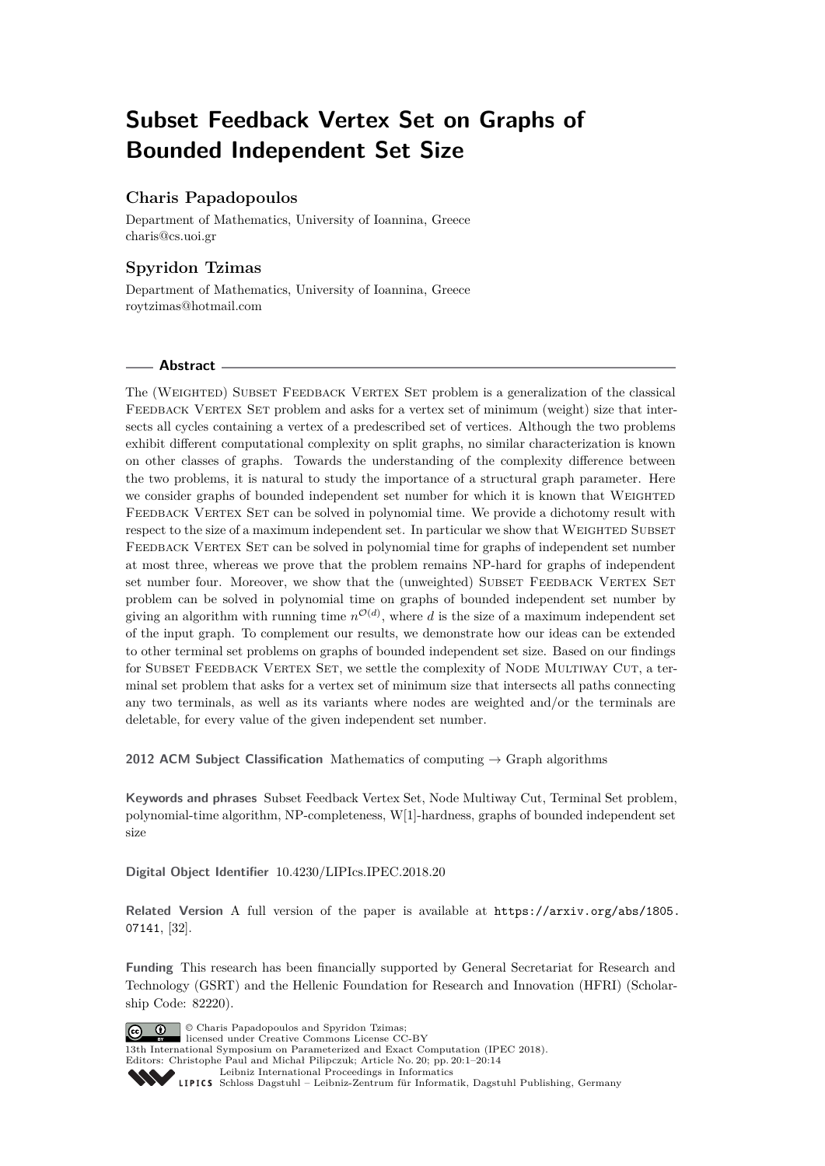# **Subset Feedback Vertex Set on Graphs of Bounded Independent Set Size**

# **Charis Papadopoulos**

Department of Mathematics, University of Ioannina, Greece [charis@cs.uoi.gr](mailto:charis@cs.uoi.gr)

# **Spyridon Tzimas**

Department of Mathematics, University of Ioannina, Greece [roytzimas@hotmail.com](mailto:roytzimas@hotmail.com)

## **Abstract**

The (WEIGHTED) SUBSET FEEDBACK VERTEX SET problem is a generalization of the classical FEEDBACK VERTEX SET problem and asks for a vertex set of minimum (weight) size that intersects all cycles containing a vertex of a predescribed set of vertices. Although the two problems exhibit different computational complexity on split graphs, no similar characterization is known on other classes of graphs. Towards the understanding of the complexity difference between the two problems, it is natural to study the importance of a structural graph parameter. Here we consider graphs of bounded independent set number for which it is known that WEIGHTED FEEDBACK VERTEX SET can be solved in polynomial time. We provide a dichotomy result with respect to the size of a maximum independent set. In particular we show that WEIGHTED SUBSET FEEDBACK VERTEX SET can be solved in polynomial time for graphs of independent set number at most three, whereas we prove that the problem remains NP-hard for graphs of independent set number four. Moreover, we show that the (unweighted) SUBSET FEEDBACK VERTEX SET problem can be solved in polynomial time on graphs of bounded independent set number by giving an algorithm with running time  $n^{\mathcal{O}(d)}$ , where *d* is the size of a maximum independent set of the input graph. To complement our results, we demonstrate how our ideas can be extended to other terminal set problems on graphs of bounded independent set size. Based on our findings for SUBSET FEEDBACK VERTEX SET, we settle the complexity of NODE MULTIWAY CUT, a terminal set problem that asks for a vertex set of minimum size that intersects all paths connecting any two terminals, as well as its variants where nodes are weighted and/or the terminals are deletable, for every value of the given independent set number.

**2012 ACM Subject Classification** Mathematics of computing → Graph algorithms

**Keywords and phrases** Subset Feedback Vertex Set, Node Multiway Cut, Terminal Set problem, polynomial-time algorithm, NP-completeness, W[1]-hardness, graphs of bounded independent set size

**Digital Object Identifier** [10.4230/LIPIcs.IPEC.2018.20](https://doi.org/10.4230/LIPIcs.IPEC.2018.20)

**Related Version** A full version of the paper is available at [https://arxiv.org/abs/1805.](https://arxiv.org/abs/1805.07141) [07141](https://arxiv.org/abs/1805.07141), [\[32\]](#page-13-0).

**Funding** This research has been financially supported by General Secretariat for Research and Technology (GSRT) and the Hellenic Foundation for Research and Innovation (HFRI) (Scholarship Code: 82220).



© Charis Papadopoulos and Spyridon Tzimas;

licensed under Creative Commons License CC-BY 13th International Symposium on Parameterized and Exact Computation (IPEC 2018). Editors: Christophe Paul and Michał Pilipczuk; Article No. 20; pp. 20:1–20[:14](#page-13-1)

[Leibniz International Proceedings in Informatics](http://www.dagstuhl.de/lipics/)

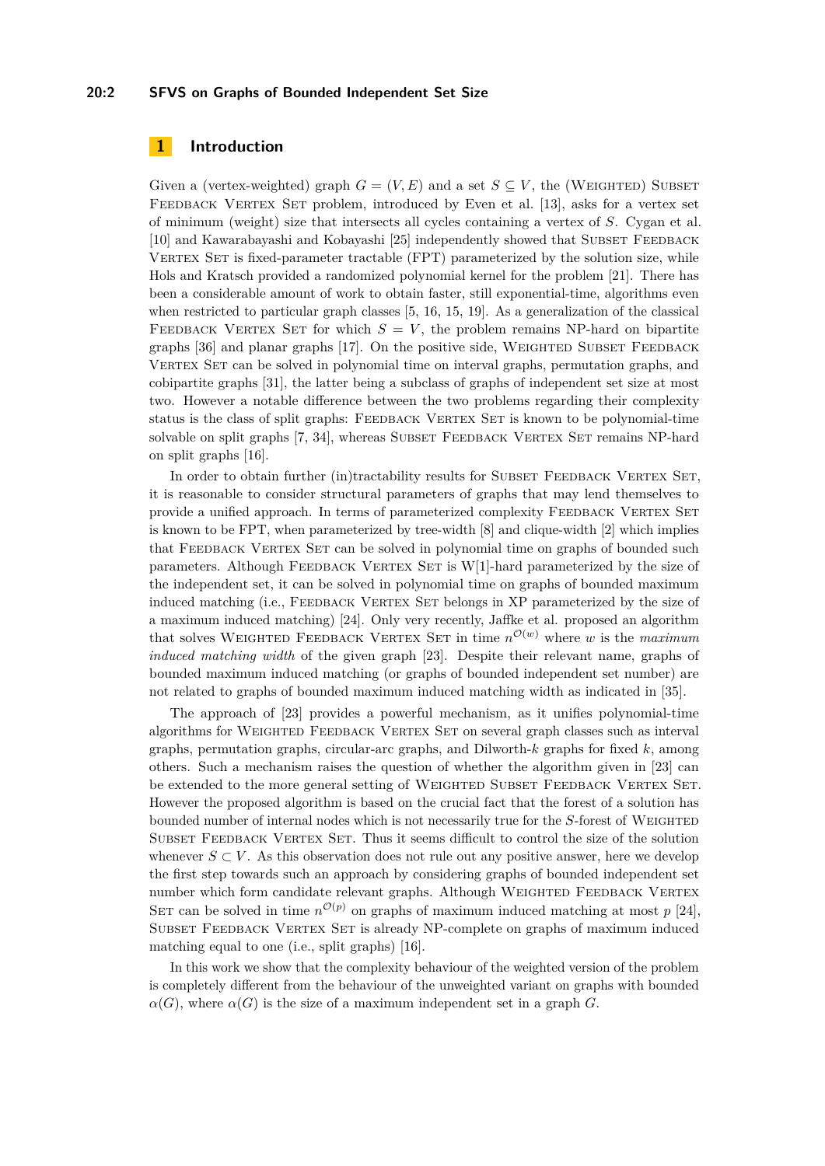## **20:2 SFVS on Graphs of Bounded Independent Set Size**

## **1 Introduction**

Given a (vertex-weighted) graph  $G = (V, E)$  and a set  $S \subseteq V$ , the (WEIGHTED) SUBSET FEEDBACK VERTEX SET problem, introduced by Even et al. [\[13\]](#page-12-0), asks for a vertex set of minimum (weight) size that intersects all cycles containing a vertex of *S*. Cygan et al. [\[10\]](#page-12-1) and Kawarabayashi and Kobayashi [\[25\]](#page-13-2) independently showed that SUBSET FEEDBACK VERTEX SET is fixed-parameter tractable (FPT) parameterized by the solution size, while Hols and Kratsch provided a randomized polynomial kernel for the problem [\[21\]](#page-13-3). There has been a considerable amount of work to obtain faster, still exponential-time, algorithms even when restricted to particular graph classes [\[5,](#page-12-2) [16,](#page-12-3) [15,](#page-12-4) [19\]](#page-12-5). As a generalization of the classical FEEDBACK VERTEX SET for which  $S = V$ , the problem remains NP-hard on bipartite graphs  $[36]$  and planar graphs  $[17]$ . On the positive side, WEIGHTED SUBSET FEEDBACK VERTEX SET can be solved in polynomial time on interval graphs, permutation graphs, and cobipartite graphs [\[31\]](#page-13-5), the latter being a subclass of graphs of independent set size at most two. However a notable difference between the two problems regarding their complexity status is the class of split graphs: FEEDBACK VERTEX SET is known to be polynomial-time solvable on split graphs [\[7,](#page-12-7) [34\]](#page-13-6), whereas SUBSET FEEDBACK VERTEX SET remains NP-hard on split graphs [\[16\]](#page-12-3).

In order to obtain further (in)tractability results for SUBSET FEEDBACK VERTEX SET, it is reasonable to consider structural parameters of graphs that may lend themselves to provide a unified approach. In terms of parameterized complexity FEEDBACK VERTEX SET is known to be FPT, when parameterized by tree-width [\[8\]](#page-12-8) and clique-width [\[2\]](#page-12-9) which implies that FEEDBACK VERTEX SET can be solved in polynomial time on graphs of bounded such parameters. Although FEEDBACK VERTEX SET is W[1]-hard parameterized by the size of the independent set, it can be solved in polynomial time on graphs of bounded maximum induced matching (i.e., FEEDBACK VERTEX SET belongs in XP parameterized by the size of a maximum induced matching) [\[24\]](#page-13-7). Only very recently, Jaffke et al. proposed an algorithm that solves WEIGHTED FEEDBACK VERTEX SET in time  $n^{\mathcal{O}(w)}$  where *w* is the *maximum induced matching width* of the given graph [\[23\]](#page-13-8). Despite their relevant name, graphs of bounded maximum induced matching (or graphs of bounded independent set number) are not related to graphs of bounded maximum induced matching width as indicated in [\[35\]](#page-13-9).

The approach of [\[23\]](#page-13-8) provides a powerful mechanism, as it unifies polynomial-time algorithms for WEIGHTED FEEDBACK VERTEX SET on several graph classes such as interval graphs, permutation graphs, circular-arc graphs, and Dilworth-*k* graphs for fixed *k*, among others. Such a mechanism raises the question of whether the algorithm given in [\[23\]](#page-13-8) can be extended to the more general setting of WEIGHTED SUBSET FEEDBACK VERTEX SET. However the proposed algorithm is based on the crucial fact that the forest of a solution has bounded number of internal nodes which is not necessarily true for the *S*-forest of WEIGHTED SUBSET FEEDBACK VERTEX SET. Thus it seems difficult to control the size of the solution whenever  $S \subset V$ . As this observation does not rule out any positive answer, here we develop the first step towards such an approach by considering graphs of bounded independent set number which form candidate relevant graphs. Although WEIGHTED FEEDBACK VERTEX SET can be solved in time  $n^{\mathcal{O}(p)}$  on graphs of maximum induced matching at most  $p$  [\[24\]](#page-13-7), SUBSET FEEDBACK VERTEX SET is already NP-complete on graphs of maximum induced matching equal to one (i.e., split graphs) [\[16\]](#page-12-3).

In this work we show that the complexity behaviour of the weighted version of the problem is completely different from the behaviour of the unweighted variant on graphs with bounded  $\alpha(G)$ , where  $\alpha(G)$  is the size of a maximum independent set in a graph *G*.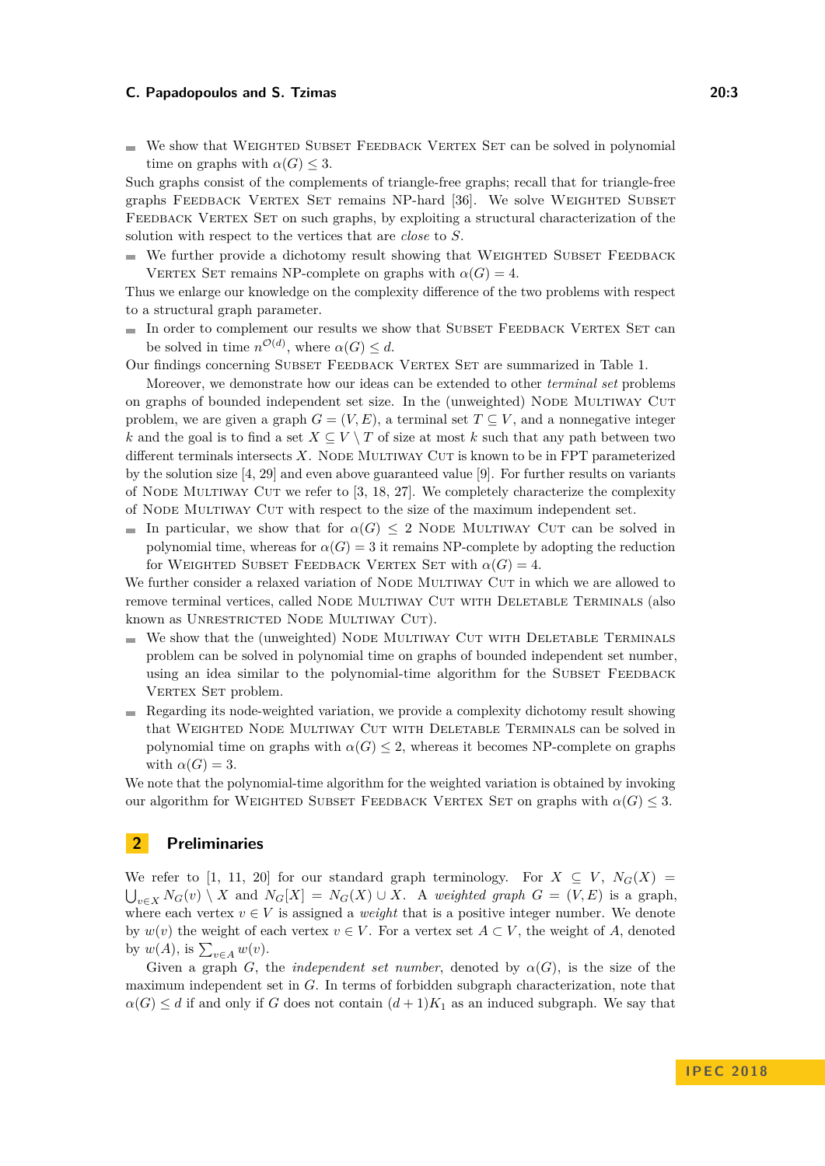$\blacksquare$  We show that WEIGHTED SUBSET FEEDBACK VERTEX SET can be solved in polynomial time on graphs with  $\alpha(G) \leq 3$ .

Such graphs consist of the complements of triangle-free graphs; recall that for triangle-free graphs FEEDBACK VERTEX SET remains NP-hard [\[36\]](#page-13-4). We solve WEIGHTED SUBSET FEEDBACK VERTEX SET on such graphs, by exploiting a structural characterization of the solution with respect to the vertices that are *close* to *S*.

 $\blacksquare$  We further provide a dichotomy result showing that WEIGHTED SUBSET FEEDBACK VERTEX SET remains NP-complete on graphs with  $\alpha(G) = 4$ .

Thus we enlarge our knowledge on the complexity difference of the two problems with respect to a structural graph parameter.

 $\blacksquare$  In order to complement our results we show that SUBSET FEEDBACK VERTEX SET can be solved in time  $n^{\mathcal{O}(d)}$ , where  $\alpha(G) \leq d$ .

Our findings concerning Subset Feedback Vertex Set are summarized in Table [1.](#page-3-0)

Moreover, we demonstrate how our ideas can be extended to other *terminal set* problems on graphs of bounded independent set size. In the (unweighted) NODE MULTIWAY CUT problem, we are given a graph  $G = (V, E)$ , a terminal set  $T \subseteq V$ , and a nonnegative integer *k* and the goal is to find a set  $X \subseteq V \setminus T$  of size at most *k* such that any path between two different terminals intersects  $X$ . Node Multiway Cut is known to be in FPT parameterized by the solution size [\[4,](#page-12-10) [29\]](#page-13-10) and even above guaranteed value [\[9\]](#page-12-11). For further results on variants of NODE MULTIWAY CUT we refer to  $[3, 18, 27]$  $[3, 18, 27]$  $[3, 18, 27]$  $[3, 18, 27]$  $[3, 18, 27]$ . We completely characterize the complexity of Node Multiway Cut with respect to the size of the maximum independent set.

In particular, we show that for  $\alpha(G) \leq 2$  Node Multiway Cut can be solved in polynomial time, whereas for  $\alpha(G) = 3$  it remains NP-complete by adopting the reduction for WEIGHTED SUBSET FEEDBACK VERTEX SET with  $\alpha(G) = 4$ .

We further consider a relaxed variation of NODE MULTIWAY CUT in which we are allowed to remove terminal vertices, called NODE MULTIWAY CUT WITH DELETABLE TERMINALS (also known as UNRESTRICTED NODE MULTIWAY CUT).

- $\blacksquare$  We show that the (unweighted) NODE MULTIWAY CUT WITH DELETABLE TERMINALS problem can be solved in polynomial time on graphs of bounded independent set number, using an idea similar to the polynomial-time algorithm for the SUBSET FEEDBACK VERTEX SET problem.
- Regarding its node-weighted variation, we provide a complexity dichotomy result showing that WEIGHTED NODE MULTIWAY CUT WITH DELETABLE TERMINALS can be solved in polynomial time on graphs with  $\alpha(G) \leq 2$ , whereas it becomes NP-complete on graphs with  $\alpha(G) = 3$ .

We note that the polynomial-time algorithm for the weighted variation is obtained by invoking our algorithm for WEIGHTED SUBSET FEEDBACK VERTEX SET on graphs with  $\alpha(G) \leq 3$ .

## **2 Preliminaries**

We refer to [\[1,](#page-12-14) [11,](#page-12-15) [20\]](#page-13-12) for our standard graph terminology. For  $X \subseteq V$ ,  $N_G(X) =$  $\bigcup_{v \in X} N_G(v) \setminus X$  and  $N_G[X] = N_G(X) \cup X$ . A *weighted graph*  $G = (V, E)$  is a graph, where each vertex  $v \in V$  is assigned a *weight* that is a positive integer number. We denote by  $w(v)$  the weight of each vertex  $v \in V$ . For a vertex set  $A \subset V$ , the weight of A, denoted by  $w(A)$ , is  $\sum_{v \in A} w(v)$ .

Given a graph *G*, the *independent set number*, denoted by  $\alpha(G)$ , is the size of the maximum independent set in *G*. In terms of forbidden subgraph characterization, note that  $\alpha(G) \leq d$  if and only if *G* does not contain  $(d+1)K_1$  as an induced subgraph. We say that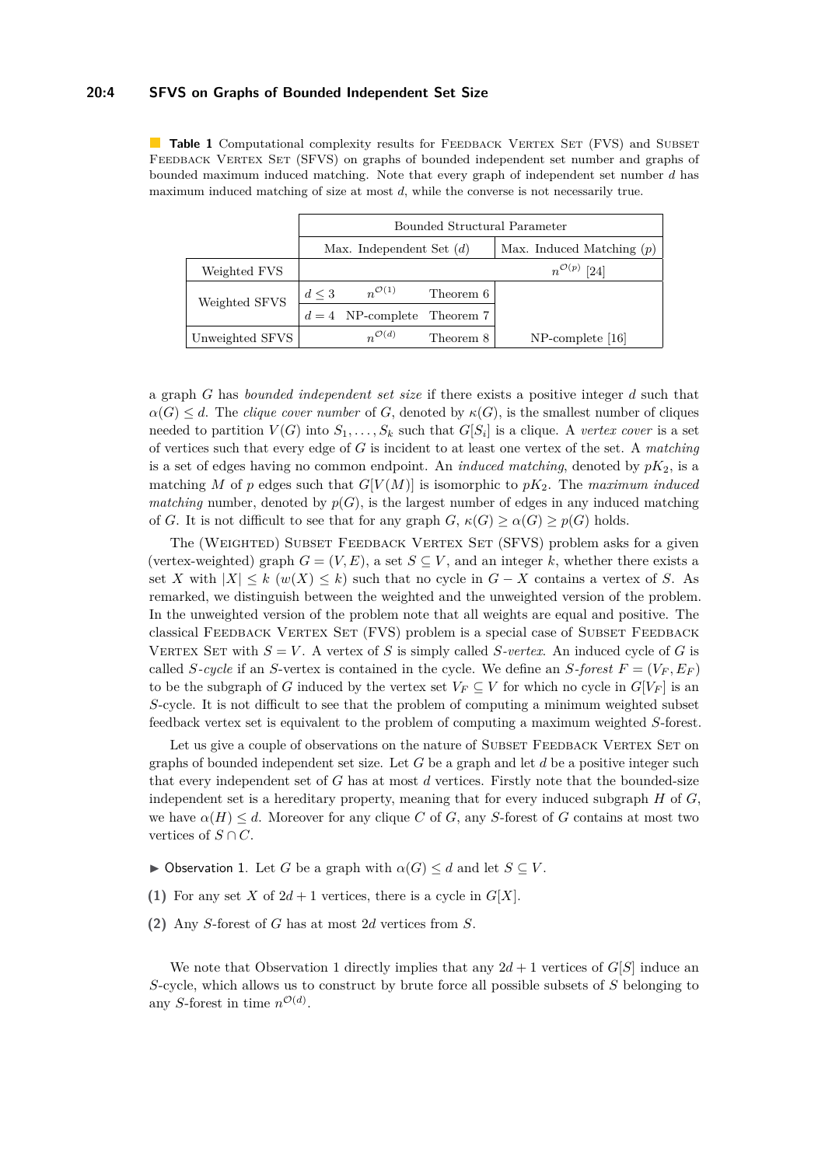### **20:4 SFVS on Graphs of Bounded Independent Set Size**

<span id="page-3-0"></span>**Table 1** Computational complexity results for FEEDBACK VERTEX SET (FVS) and SUBSET FEEDBACK VERTEX SET (SFVS) on graphs of bounded independent set number and graphs of bounded maximum induced matching. Note that every graph of independent set number *d* has maximum induced matching of size at most *d*, while the converse is not necessarily true.

|                 | Bounded Structural Parameter |                      |           |                             |
|-----------------|------------------------------|----------------------|-----------|-----------------------------|
|                 | Max. Independent Set $(d)$   |                      |           | Max. Induced Matching $(p)$ |
| Weighted FVS    |                              |                      |           | $n^{\mathcal{O}(p)}$ [24]   |
| Weighted SFVS   | $d \leq 3$                   | $n^{\mathcal{O}(1)}$ | Theorem 6 |                             |
|                 |                              | $d=4$ NP-complete    | Theorem 7 |                             |
| Unweighted SFVS |                              | $n^{\mathcal{O}(d)}$ | Theorem 8 | $NP$ -complete [16]         |

a graph *G* has *bounded independent set size* if there exists a positive integer *d* such that  $\alpha(G) \leq d$ . The *clique cover number* of *G*, denoted by  $\kappa(G)$ , is the smallest number of cliques needed to partition  $V(G)$  into  $S_1, \ldots, S_k$  such that  $G[S_i]$  is a clique. A *vertex cover* is a set of vertices such that every edge of *G* is incident to at least one vertex of the set. A *matching* is a set of edges having no common endpoint. An *induced matching*, denoted by  $pK_2$ , is a matching *M* of *p* edges such that  $G[V(M)]$  is isomorphic to  $pK_2$ . The *maximum induced matching* number, denoted by  $p(G)$ , is the largest number of edges in any induced matching of *G*. It is not difficult to see that for any graph *G*,  $\kappa(G) \ge \alpha(G) \ge p(G)$  holds.

The (WEIGHTED) SUBSET FEEDBACK VERTEX SET (SFVS) problem asks for a given (vertex-weighted) graph  $G = (V, E)$ , a set  $S \subseteq V$ , and an integer k, whether there exists a set *X* with  $|X| \leq k$  ( $w(X) \leq k$ ) such that no cycle in  $G - X$  contains a vertex of *S*. As remarked, we distinguish between the weighted and the unweighted version of the problem. In the unweighted version of the problem note that all weights are equal and positive. The classical FEEDBACK VERTEX SET (FVS) problem is a special case of SUBSET FEEDBACK VERTEX SET with  $S = V$ . A vertex of *S* is simply called *S*-vertex. An induced cycle of *G* is called *S*-cycle if an *S*-vertex is contained in the cycle. We define an *S*-forest  $F = (V_F, E_F)$ to be the subgraph of *G* induced by the vertex set  $V_F \subseteq V$  for which no cycle in  $G[V_F]$  is an *S*-cycle. It is not difficult to see that the problem of computing a minimum weighted subset feedback vertex set is equivalent to the problem of computing a maximum weighted *S*-forest.

Let us give a couple of observations on the nature of SUBSET FEEDBACK VERTEX SET on graphs of bounded independent set size. Let *G* be a graph and let *d* be a positive integer such that every independent set of *G* has at most *d* vertices. Firstly note that the bounded-size independent set is a hereditary property, meaning that for every induced subgraph *H* of *G*, we have  $\alpha(H) \leq d$ . Moreover for any clique *C* of *G*, any *S*-forest of *G* contains at most two vertices of  $S \cap C$ .

- <span id="page-3-1"></span> $\triangleright$  Observation 1. Let *G* be a graph with  $\alpha(G) \leq d$  and let  $S \subseteq V$ .
- **(1)** For any set *X* of  $2d + 1$  vertices, there is a cycle in  $G[X]$ .
- **(2)** Any *S*-forest of *G* has at most 2*d* vertices from *S*.

We note that Observation [1](#page-3-1) directly implies that any  $2d + 1$  vertices of *G*[*S*] induce an *S*-cycle, which allows us to construct by brute force all possible subsets of *S* belonging to any *S*-forest in time  $n^{\mathcal{O}(d)}$ .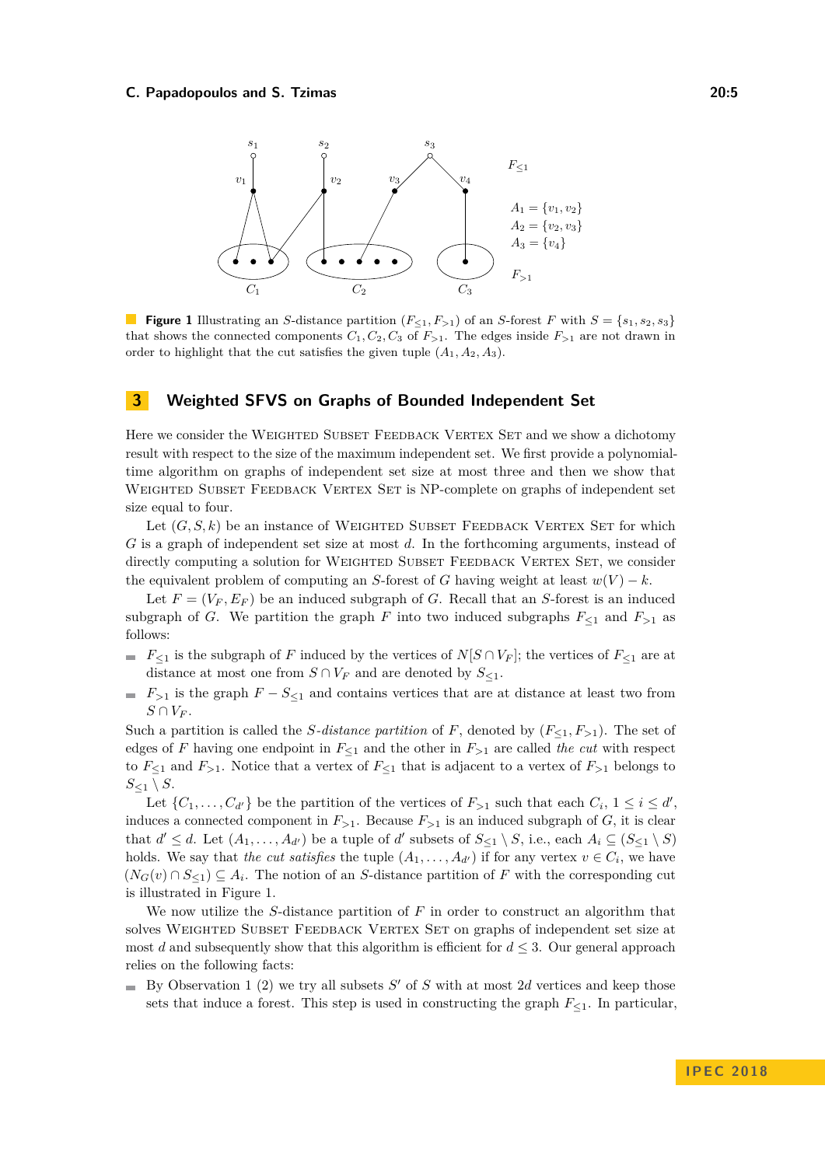<span id="page-4-0"></span>

**Figure 1** Illustrating an *S*-distance partition ( $F_{\leq 1}, F_{>1}$ ) of an *S*-forest *F* with  $S = \{s_1, s_2, s_3\}$ that shows the connected components  $C_1, C_2, C_3$  of  $F_{>1}$ . The edges inside  $F_{>1}$  are not drawn in order to highlight that the cut satisfies the given tuple  $(A_1, A_2, A_3)$ .

## **3 Weighted SFVS on Graphs of Bounded Independent Set**

Here we consider the WEIGHTED SUBSET FEEDBACK VERTEX SET and we show a dichotomy result with respect to the size of the maximum independent set. We first provide a polynomialtime algorithm on graphs of independent set size at most three and then we show that WEIGHTED SUBSET FEEDBACK VERTEX SET is NP-complete on graphs of independent set size equal to four.

Let  $(G, S, k)$  be an instance of WEIGHTED SUBSET FEEDBACK VERTEX SET for which *G* is a graph of independent set size at most *d*. In the forthcoming arguments, instead of directly computing a solution for WEIGHTED SUBSET FEEDBACK VERTEX SET, we consider the equivalent problem of computing an *S*-forest of *G* having weight at least  $w(V) - k$ .

Let  $F = (V_F, E_F)$  be an induced subgraph of *G*. Recall that an *S*-forest is an induced subgraph of *G*. We partition the graph *F* into two induced subgraphs  $F_{\leq 1}$  and  $F_{>1}$  as follows:

- $F \subseteq F_{\leq 1}$  is the subgraph of *F* induced by the vertices of *N*[*S* ∩ *V<sub>F</sub>*]; the vertices of  $F_{\leq 1}$  are at distance at most one from  $S \cap V_F$  and are denoted by  $S_{\leq 1}$ .
- $F$ <sub>>1</sub> is the graph  $F S_{\leq 1}$  and contains vertices that are at distance at least two from  $S \cap V_F$ .

Such a partition is called the *S-distance partition* of *F*, denoted by  $(F_{\leq 1}, F_{>1})$ . The set of edges of *F* having one endpoint in  $F_{\leq 1}$  and the other in  $F_{>1}$  are called *the cut* with respect to  $F_{\leq 1}$  and  $F_{>1}$ . Notice that a vertex of  $F_{\leq 1}$  that is adjacent to a vertex of  $F_{>1}$  belongs to  $S_{\leq 1} \setminus S$ .

Let  $\{C_1, \ldots, C_{d'}\}$  be the partition of the vertices of  $F_{>1}$  such that each  $C_i$ ,  $1 \leq i \leq d'$ , induces a connected component in  $F_{>1}$ . Because  $F_{>1}$  is an induced subgraph of *G*, it is clear that  $d' \leq d$ . Let  $(A_1, \ldots, A_{d'})$  be a tuple of  $d'$  subsets of  $S_{\leq 1} \setminus S$ , i.e., each  $A_i \subseteq (S_{\leq 1} \setminus S)$ holds. We say that *the cut satisfies* the tuple  $(A_1, \ldots, A_{d'})$  if for any vertex  $v \in C_i$ , we have  $(N_G(v) \cap S_{\leq 1}) \subseteq A_i$ . The notion of an *S*-distance partition of *F* with the corresponding cut is illustrated in Figure [1.](#page-4-0)

We now utilize the *S*-distance partition of *F* in order to construct an algorithm that solves WEIGHTED SUBSET FEEDBACK VERTEX SET on graphs of independent set size at most *d* and subsequently show that this algorithm is efficient for  $d \leq 3$ . Our general approach relies on the following facts:

By Observation [1](#page-3-1) (2) we try all subsets *S'* of *S* with at most 2*d* vertices and keep those sets that induce a forest. This step is used in constructing the graph  $F_{\leq 1}$ . In particular,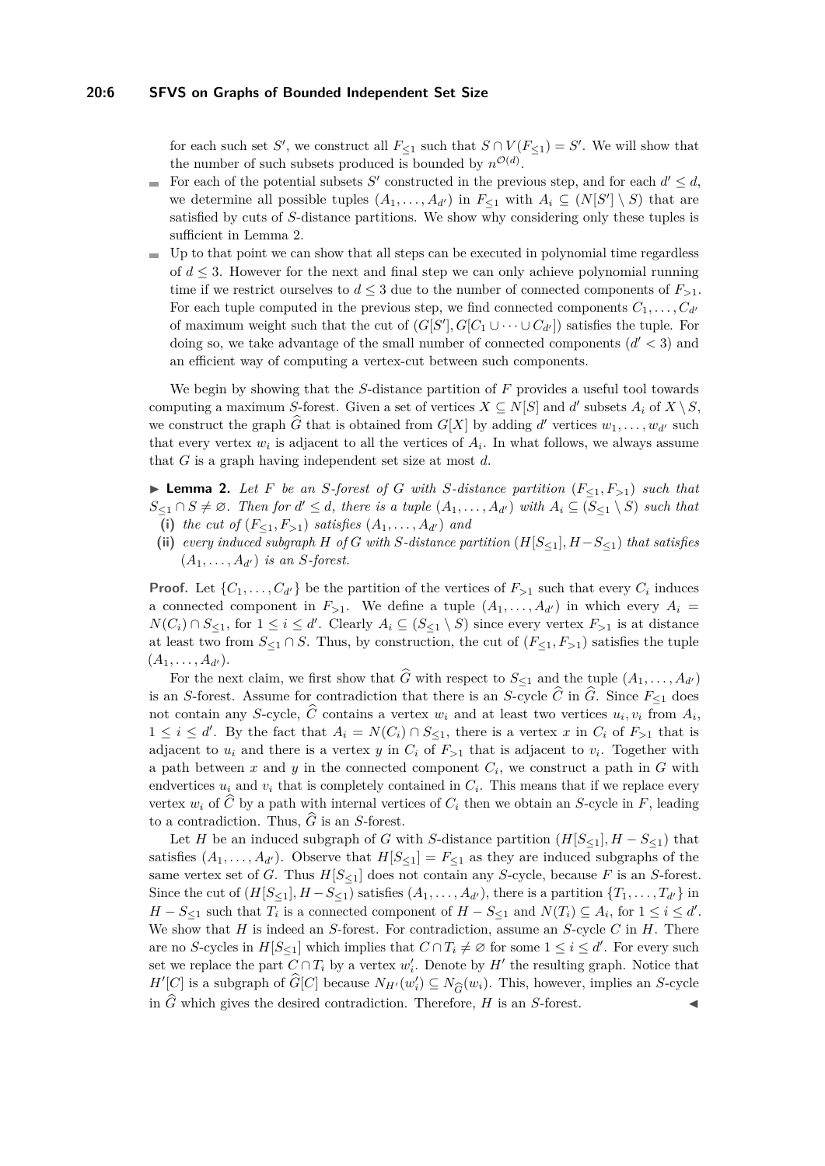#### **20:6 SFVS on Graphs of Bounded Independent Set Size**

for each such set *S*<sup>'</sup>, we construct all  $F_{\leq 1}$  such that  $S \cap V(F_{\leq 1}) = S'$ . We will show that the number of such subsets produced is bounded by  $n^{\mathcal{O}(d)}$ .

- For each of the potential subsets *S*<sup> $\prime$ </sup> constructed in the previous step, and for each  $d' \leq d$ ,  $\mathcal{L}_{\mathcal{A}}$ we determine all possible tuples  $(A_1, \ldots, A_{d'})$  in  $F_{\leq 1}$  with  $A_i \subseteq (N[S'] \setminus S)$  that are satisfied by cuts of *S*-distance partitions. We show why considering only these tuples is sufficient in Lemma [2.](#page-5-0)
- $\blacksquare$  Up to that point we can show that all steps can be executed in polynomial time regardless of *d* ≤ 3. However for the next and final step we can only achieve polynomial running time if we restrict ourselves to  $d \leq 3$  due to the number of connected components of  $F_{>1}$ . For each tuple computed in the previous step, we find connected components  $C_1, \ldots, C_{d'}$ of maximum weight such that the cut of  $(G[S'], G[C_1 \cup \cdots \cup C_{d'}])$  satisfies the tuple. For doing so, we take advantage of the small number of connected components  $(d' < 3)$  and an efficient way of computing a vertex-cut between such components.

We begin by showing that the *S*-distance partition of *F* provides a useful tool towards computing a maximum *S*-forest. Given a set of vertices  $X \subseteq N[S]$  and  $d'$  subsets  $A_i$  of  $X \setminus S$ , we construct the graph  $\widehat{G}$  that is obtained from  $G[X]$  by adding  $d'$  vertices  $w_1, \ldots, w_{d'}$  such that every vertex  $w_i$  is adjacent to all the vertices of  $A_i$ . In what follows, we always assume that *G* is a graph having independent set size at most *d*.

<span id="page-5-0"></span>▶ **Lemma 2.** Let *F* be an *S*-forest of *G* with *S*-distance partition  $(F<sub>1</sub>, F<sub>>1</sub>)$  such that  $S_{\leq 1} \cap S \neq \emptyset$ . Then for  $d' \leq d$ , there is a tuple  $(A_1, \ldots, A_{d'})$  with  $A_i \subseteq (S_{\leq 1} \setminus S)$  such that (i) the cut of  $(F_{\leq 1}, F_{\geq 1})$  satisfies  $(A_1, \ldots, A_{d'})$  and

(ii) *every induced subgraph H of G with S-distance partition*  $(H[S_{\leq 1}], H - S_{\leq 1})$  *that satisfies*  $(A_1, \ldots, A_{d'})$  *is an S-forest.* 

**Proof.** Let  $\{C_1, \ldots, C_{d'}\}$  be the partition of the vertices of  $F_{>1}$  such that every  $C_i$  induces a connected component in  $F_{>1}$ . We define a tuple  $(A_1, \ldots, A_{d'})$  in which every  $A_i =$ *N*(*C*<sub>*i*</sub>) ∩ *S*<sub>≤1</sub>, for  $1 \le i \le d'$ . Clearly  $A_i \subseteq (S_{\le 1} \setminus S)$  since every vertex  $F_{>1}$  is at distance at least two from  $S_{\leq 1} \cap S$ . Thus, by construction, the cut of  $(F_{\leq 1}, F_{>1})$  satisfies the tuple  $(A_1, \ldots, A_{d'})$ .

For the next claim, we first show that  $\widehat{G}$  with respect to  $S_{\leq 1}$  and the tuple  $(A_1, \ldots, A_{d'})$ is an *S*-forest. Assume for contradiction that there is an *S*-cycle  $\widehat{C}$  in  $\widehat{G}$ . Since  $F_{\leq 1}$  does not contain any *S*-cycle, *C* contains a vertex  $w_i$  and at least two vertices  $u_i, v_i$  from  $A_i$ ,  $1 \leq i \leq d'$ . By the fact that  $A_i = N(C_i) \cap S_{\leq 1}$ , there is a vertex *x* in  $C_i$  of  $F_{>1}$  that is adjacent to  $u_i$  and there is a vertex  $y$  in  $C_i$  of  $F_{>1}$  that is adjacent to  $v_i$ . Together with a path between  $x$  and  $y$  in the connected component  $C_i$ , we construct a path in  $G$  with endvertices  $u_i$  and  $v_i$  that is completely contained in  $C_i$ . This means that if we replace every vertex  $w_i$  of  $\widehat{C}$  by a path with internal vertices of  $C_i$  then we obtain an *S*-cycle in *F*, leading to a contradiction. Thus,  $\tilde{G}$  is an *S*-forest.

Let *H* be an induced subgraph of *G* with *S*-distance partition  $(H[S_{\leq 1}], H - S_{\leq 1})$  that satisfies  $(A_1, \ldots, A_{d'})$ . Observe that  $H[S_{\leq 1}] = F_{\leq 1}$  as they are induced subgraphs of the same vertex set of *G*. Thus  $H[S_{\leq 1}]$  does not contain any *S*-cycle, because *F* is an *S*-forest. Since the cut of  $(H[S_{\leq 1}], H - S_{\leq 1})$  satisfies  $(A_1, \ldots, A_{d'})$ , there is a partition  $\{T_1, \ldots, T_{d'}\}$  in *H* − *S*<sub>≤1</sub> such that  $T_i$  is a connected component of  $H - S_{\leq 1}$  and  $N(T_i) \subseteq A_i$ , for  $1 \leq i \leq d'$ . We show that *H* is indeed an *S*-forest. For contradiction, assume an *S*-cycle *C* in *H*. There are no *S*-cycles in  $H[S_{\leq 1}]$  which implies that  $C \cap T_i \neq \emptyset$  for some  $1 \leq i \leq d'$ . For every such set we replace the part  $C \cap T_i$  by a vertex  $w'_i$ . Denote by  $H'$  the resulting graph. Notice that *H*<sup> $\prime$ </sup>[*C*] is a subgraph of  $\widehat{G}[C]$  because  $N_{H'}(w_i') \subseteq N_{\widehat{G}}(w_i)$ . This, however, implies an *S*-cycle in  $\widehat{G}$  which gives the desired contradiction. Therefore, *H* is an *S*-forest in  $\widehat{G}$  which gives the desired contradiction. Therefore, *H* is an *S*-forest.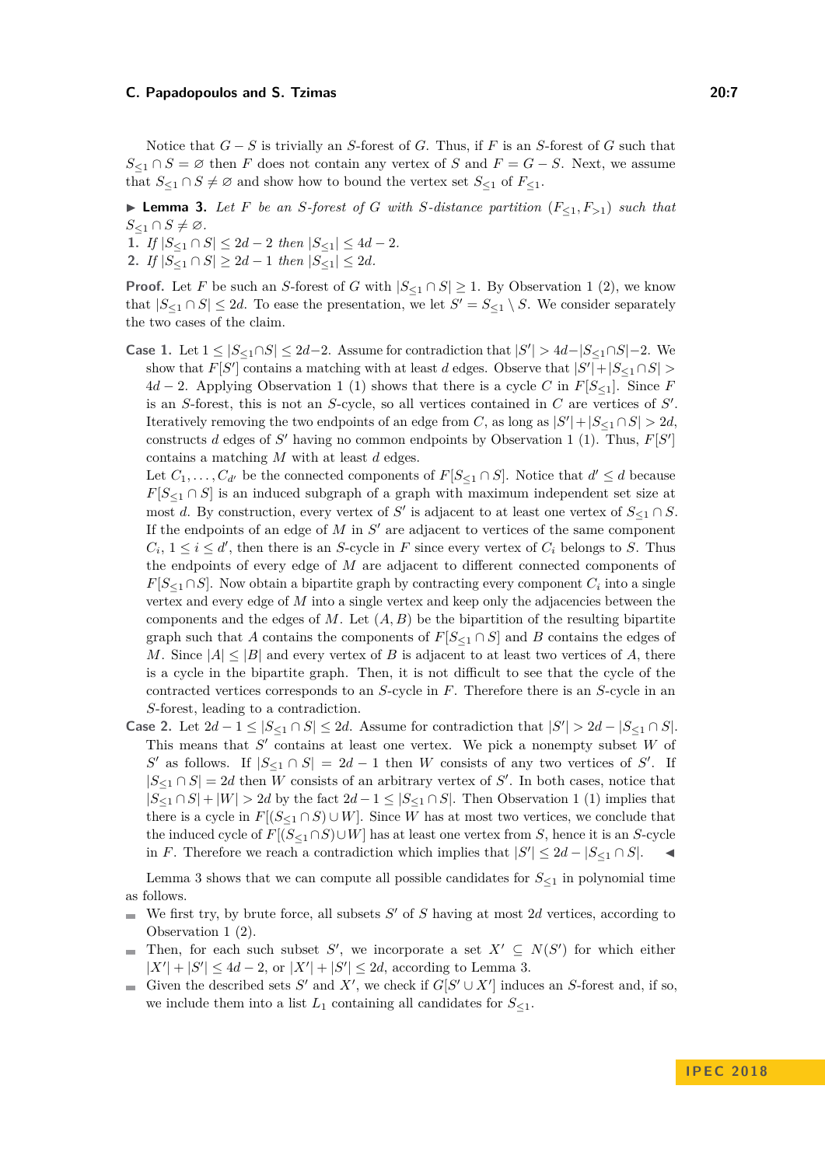Notice that *G* − *S* is trivially an *S*-forest of *G*. Thus, if *F* is an *S*-forest of *G* such that  $S_{\leq 1} \cap S = \emptyset$  then *F* does not contain any vertex of *S* and  $F = G - S$ . Next, we assume that  $S_{\leq 1} \cap S \neq \emptyset$  and show how to bound the vertex set  $S_{\leq 1}$  of  $F_{\leq 1}$ .

<span id="page-6-0"></span>▶ **Lemma 3.** *Let F be an S-forest of G with S*-distance partition  $(F<sub>1</sub>, F<sub>>1</sub>)$  *such that*  $S_{\leq 1} \cap S \neq \emptyset$ .

**1.** *If*  $|S_{\leq 1} \cap S| \leq 2d - 2$  *then*  $|S_{\leq 1}| \leq 4d - 2$ *.* 

**2.** *If*  $|S_{\leq 1} \cap S| \geq 2d - 1$  *then*  $|S_{\leq 1}| \leq 2d$ *.* 

**Proof.** Let *F* be such an *S*-forest of *G* with  $|S_{\leq 1} \cap S| \geq 1$  $|S_{\leq 1} \cap S| \geq 1$  $|S_{\leq 1} \cap S| \geq 1$ . By Observation 1 (2), we know that  $|S_{\leq 1} \cap S| \leq 2d$ . To ease the presentation, we let  $S' = S_{\leq 1} \setminus S$ . We consider separately the two cases of the claim.

Case 1. Let  $1 \le |S_{\le 1} \cap S| \le 2d-2$ . Assume for contradiction that  $|S'| > 4d-|S_{\le 1} \cap S|-2$ . We show that  $F[S']$  contains a matching with at least *d* edges. Observe that  $|S'| + |S_{\leq 1} \cap S|$ 4*d* − 2. Applying Observation [1](#page-3-1) (1) shows that there is a cycle *C* in  $F[S_{\leq 1}]$ . Since *F* is an  $S$ -forest, this is not an  $S$ -cycle, so all vertices contained in  $C$  are vertices of  $S'$ . Iteratively removing the two endpoints of an edge from *C*, as long as  $|S'| + |S_{\leq 1} \cap S| > 2d$ , constructs *d* edges of  $S'$  having no common endpoints by Observation [1](#page-3-1) (1). Thus,  $F[S']$ contains a matching *M* with at least *d* edges.

Let  $C_1, \ldots, C_{d'}$  be the connected components of  $F[S_{\leq 1} \cap S]$ . Notice that  $d' \leq d$  because  $F[S_{\leq 1} \cap S]$  is an induced subgraph of a graph with maximum independent set size at most *d*. By construction, every vertex of *S'* is adjacent to at least one vertex of  $S_{\leq 1} \cap S$ . If the endpoints of an edge of  $M$  in  $S'$  are adjacent to vertices of the same component  $C_i$ ,  $1 \leq i \leq d'$ , then there is an *S*-cycle in *F* since every vertex of  $C_i$  belongs to *S*. Thus the endpoints of every edge of *M* are adjacent to different connected components of *F*[ $S \leq 1 \cap S$ ]. Now obtain a bipartite graph by contracting every component  $C_i$  into a single vertex and every edge of *M* into a single vertex and keep only the adjacencies between the components and the edges of  $M$ . Let  $(A, B)$  be the bipartition of the resulting bipartite graph such that *A* contains the components of  $F[S_{\leq 1} \cap S]$  and *B* contains the edges of *M*. Since  $|A| \leq |B|$  and every vertex of *B* is adjacent to at least two vertices of *A*, there is a cycle in the bipartite graph. Then, it is not difficult to see that the cycle of the contracted vertices corresponds to an *S*-cycle in *F*. Therefore there is an *S*-cycle in an *S*-forest, leading to a contradiction.

**Case 2.** Let  $2d - 1 \le |S_{\le 1} \cap S| \le 2d$ . Assume for contradiction that  $|S'| > 2d - |S_{\le 1} \cap S|$ . This means that  $S'$  contains at least one vertex. We pick a nonempty subset  $W$  of  $S'$  as follows. If  $|S_{\leq 1} \cap S| = 2d - 1$  then *W* consists of any two vertices of *S*'. If  $|S_{\leq 1} \cap S| = 2d$  then *W* consists of an arbitrary vertex of *S'*. In both cases, notice that  $|S_{\leq 1} \cap S| + |W| > 2d$  $|S_{\leq 1} \cap S| + |W| > 2d$  $|S_{\leq 1} \cap S| + |W| > 2d$  by the fact  $2d - 1 \leq |S_{\leq 1} \cap S|$ . Then Observation 1 (1) implies that there is a cycle in  $F[(S_{\leq 1} \cap S) \cup W]$ . Since *W* has at most two vertices, we conclude that the induced cycle of *F*[(*S*<sup>≤</sup>1∩*S*)∪*W*] has at least one vertex from *S*, hence it is an *S*-cycle in *F*. Therefore we reach a contradiction which implies that  $|S'|$  ≤ 2*d* −  $|S_{\leq 1} \cap S|$ .  $\triangleleft$ 

Lemma [3](#page-6-0) shows that we can compute all possible candidates for  $S_{\leq 1}$  in polynomial time as follows.

- We first try, by brute force, all subsets  $S'$  of  $S$  having at most 2d vertices, according to  $\overline{\phantom{a}}$ Observation [1](#page-3-1) (2).
- Then, for each such subset *S*', we incorporate a set  $X' \subseteq N(S')$  for which either  $\sim$  $|X'| + |S'| \leq 4d - 2$ , or  $|X'| + |S'| \leq 2d$ , according to Lemma [3.](#page-6-0)
- Given the described sets *S*<sup> $\prime$ </sup> and *X*<sup> $\prime$ </sup>, we check if  $G[S' \cup X']$  induces an *S*-forest and, if so,  $\mathbf{r}$ we include them into a list  $L_1$  containing all candidates for  $S_{\leq 1}$ .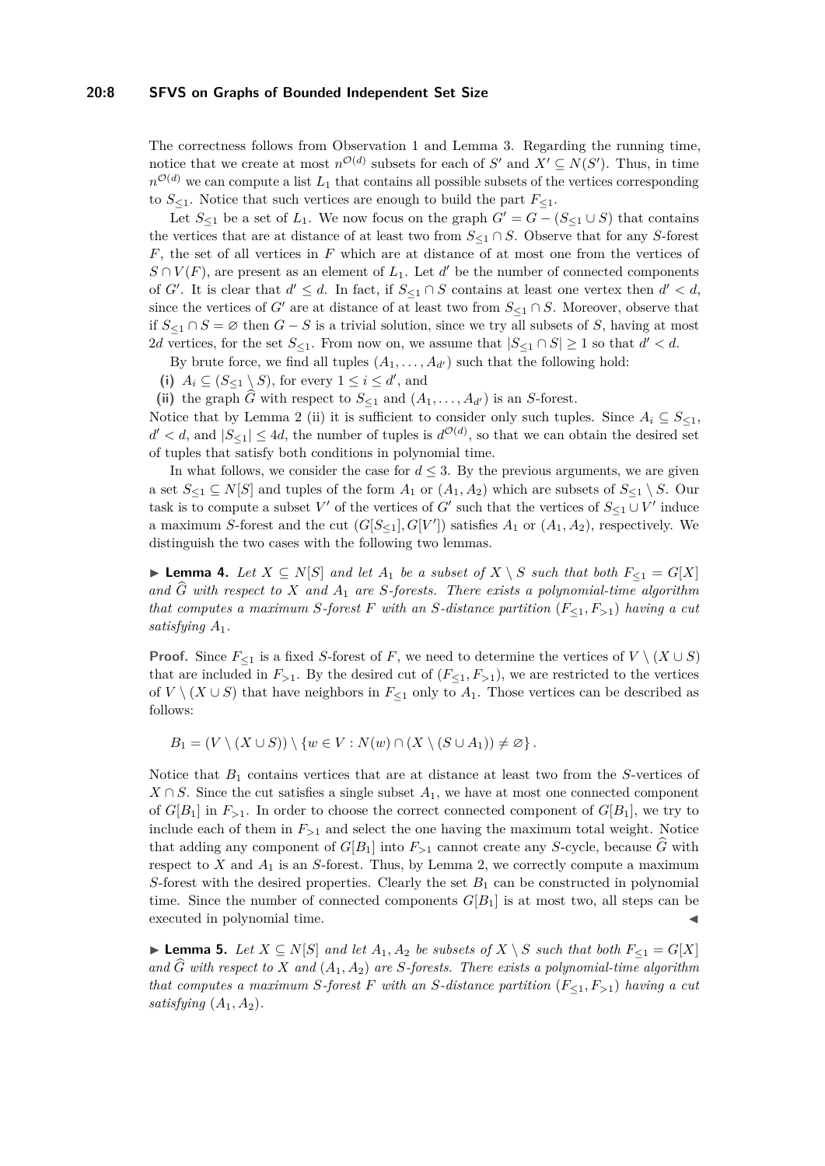#### **20:8 SFVS on Graphs of Bounded Independent Set Size**

The correctness follows from Observation [1](#page-3-1) and Lemma [3.](#page-6-0) Regarding the running time, notice that we create at most  $n^{\mathcal{O}(d)}$  subsets for each of *S*<sup> $\prime$ </sup> and  $X' \subseteq N(S')$ . Thus, in time  $n^{\mathcal{O}(d)}$  we can compute a list  $L_1$  that contains all possible subsets of the vertices corresponding to  $S_{\leq 1}$ . Notice that such vertices are enough to build the part  $F_{\leq 1}$ .

Let  $S_{\leq 1}$  be a set of  $L_1$ . We now focus on the graph  $G' = G - (S_{\leq 1} \cup S)$  that contains the vertices that are at distance of at least two from  $S_{\leq 1} \cap S$ . Observe that for any *S*-forest *F*, the set of all vertices in *F* which are at distance of at most one from the vertices of  $S \cap V(F)$ , are present as an element of  $L_1$ . Let  $d'$  be the number of connected components of *G'*. It is clear that  $d' \leq d$ . In fact, if  $S_{\leq 1} \cap S$  contains at least one vertex then  $d' < d$ , since the vertices of *G*<sup> $\prime$ </sup> are at distance of at least two from  $S_{\leq 1} \cap S$ . Moreover, observe that if  $S \leq 1 \cap S = ∅$  then  $G - S$  is a trivial solution, since we try all subsets of *S*, having at most 2*d* vertices, for the set  $S_{\leq 1}$ . From now on, we assume that  $|S_{\leq 1} \cap S| \geq 1$  so that  $d' < d$ .

By brute force, we find all tuples  $(A_1, \ldots, A_{d'})$  such that the following hold:

(i)  $A_i \subseteq (S_{\leq 1} \setminus S)$ , for every  $1 \leq i \leq d'$ , and

(ii) the graph  $\widehat{G}$  with respect to  $S_{\leq 1}$  and  $(A_1, \ldots, A_{d'})$  is an *S*-forest.

Notice that by Lemma [2](#page-5-0) (ii) it is sufficient to consider only such tuples. Since  $A_i \subseteq S_{\leq 1}$ ,  $d' < d$ , and  $|S_{\leq 1}| \leq 4d$ , the number of tuples is  $d^{\mathcal{O}(d)}$ , so that we can obtain the desired set of tuples that satisfy both conditions in polynomial time.

In what follows, we consider the case for  $d \leq 3$ . By the previous arguments, we are given a set  $S_{\leq 1} \subseteq N[S]$  and tuples of the form  $A_1$  or  $(A_1, A_2)$  which are subsets of  $S_{\leq 1} \setminus S$ . Our task is to compute a subset  $V'$  of the vertices of  $G'$  such that the vertices of  $S_{\leq 1} \cup V'$  induce a maximum *S*-forest and the cut  $(G[S_{\leq 1}], G[V'])$  satisfies  $A_1$  or  $(A_1, A_2)$ , respectively. We distinguish the two cases with the following two lemmas.

<span id="page-7-0"></span>▶ **Lemma 4.** Let  $X \subseteq N[S]$  and let  $A_1$  be a subset of  $X \setminus S$  such that both  $F_{\leq 1} = G[X]$ and  $\hat{G}$  with respect to  $X$  and  $A_1$  are S-forests. There exists a polynomial-time algorithm *that computes a maximum S-forest F with an S-distance partition* (*F*<sup>≤</sup>1*, F>*1) *having a cut satisfying A*1*.*

**Proof.** Since  $F_{\leq 1}$  is a fixed *S*-forest of *F*, we need to determine the vertices of  $V \setminus (X \cup S)$ that are included in  $F_{>1}$ . By the desired cut of  $(F_{\leq 1}, F_{>1})$ , we are restricted to the vertices of  $V \setminus (X \cup S)$  that have neighbors in  $F_{\leq 1}$  only to  $A_1$ . Those vertices can be described as follows:

 $B_1 = (V \setminus (X \cup S)) \setminus \{w \in V : N(w) \cap (X \setminus (S \cup A_1)) \neq \varnothing\}.$ 

Notice that *B*<sup>1</sup> contains vertices that are at distance at least two from the *S*-vertices of  $X \cap S$ . Since the cut satisfies a single subset  $A_1$ , we have at most one connected component of  $G[B_1]$  in  $F_{>1}$ . In order to choose the correct connected component of  $G[B_1]$ , we try to include each of them in  $F_{>1}$  and select the one having the maximum total weight. Notice that adding any component of  $G[B_1]$  into  $F_{\geq 1}$  cannot create any *S*-cycle, because *G* with respect to  $X$  and  $A_1$  is an  $S$ -forest. Thus, by Lemma [2,](#page-5-0) we correctly compute a maximum *S*-forest with the desired properties. Clearly the set  $B_1$  can be constructed in polynomial time. Since the number of connected components  $G[B_1]$  is at most two, all steps can be executed in polynomial time.

<span id="page-7-1"></span>▶ **Lemma 5.** *Let*  $X \subseteq N[S]$  *and let*  $A_1, A_2$  *be subsets of*  $X \setminus S$  *such that both*  $F_{\leq 1} = G[X]$ and  $\hat{G}$  with respect to  $X$  and  $(A_1, A_2)$  are *S*-forests. There exists a polynomial-time algorithm *that computes a maximum S-forest F* with an *S*-distance partition  $(F_{\leq 1}, F_{\geq 1})$  having a cut *satisfying*  $(A_1, A_2)$ *.*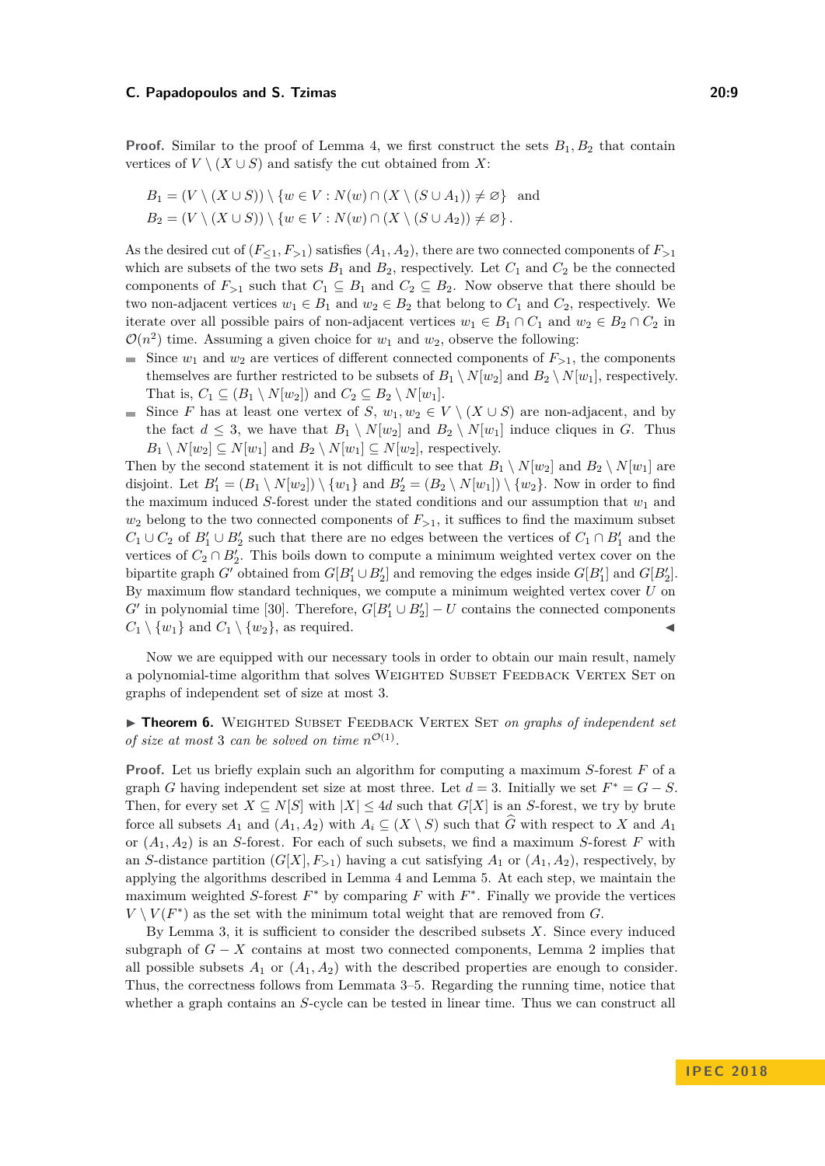**Proof.** Similar to the proof of Lemma [4,](#page-7-0) we first construct the sets  $B_1, B_2$  that contain vertices of  $V \setminus (X \cup S)$  and satisfy the cut obtained from X:

$$
B_1 = (V \setminus (X \cup S)) \setminus \{w \in V : N(w) \cap (X \setminus (S \cup A_1)) \neq \varnothing\} \text{ and}
$$
  
\n
$$
B_2 = (V \setminus (X \cup S)) \setminus \{w \in V : N(w) \cap (X \setminus (S \cup A_2)) \neq \varnothing\}.
$$

As the desired cut of  $(F_{\leq 1}, F_{\geq 1})$  satisfies  $(A_1, A_2)$ , there are two connected components of  $F_{\geq 1}$ which are subsets of the two sets  $B_1$  and  $B_2$ , respectively. Let  $C_1$  and  $C_2$  be the connected components of  $F_{>1}$  such that  $C_1 \subseteq B_1$  and  $C_2 \subseteq B_2$ . Now observe that there should be two non-adjacent vertices  $w_1 \in B_1$  and  $w_2 \in B_2$  that belong to  $C_1$  and  $C_2$ , respectively. We iterate over all possible pairs of non-adjacent vertices  $w_1 \in B_1 \cap C_1$  and  $w_2 \in B_2 \cap C_2$  in  $\mathcal{O}(n^2)$  time. Assuming a given choice for  $w_1$  and  $w_2$ , observe the following:

- Since  $w_1$  and  $w_2$  are vertices of different connected components of  $F_{\geq 1}$ , the components themselves are further restricted to be subsets of  $B_1 \setminus N[w_2]$  and  $B_2 \setminus N[w_1]$ , respectively. That is,  $C_1 \subseteq (B_1 \setminus N[w_2])$  and  $C_2 \subseteq B_2 \setminus N[w_1]$ .
- Since *F* has at least one vertex of *S*,  $w_1, w_2 \in V \setminus (X \cup S)$  are non-adjacent, and by the fact  $d \leq 3$ , we have that  $B_1 \setminus N[w_2]$  and  $B_2 \setminus N[w_1]$  induce cliques in *G*. Thus  $B_1 \setminus N[w_2] \subseteq N[w_1]$  and  $B_2 \setminus N[w_1] \subseteq N[w_2]$ , respectively.

Then by the second statement it is not difficult to see that  $B_1 \setminus N[w_2]$  and  $B_2 \setminus N[w_1]$  are disjoint. Let  $B'_1 = (B_1 \setminus N[w_2]) \setminus \{w_1\}$  and  $B'_2 = (B_2 \setminus N[w_1]) \setminus \{w_2\}$ . Now in order to find the maximum induced  $S$ -forest under the stated conditions and our assumption that  $w_1$  and  $w_2$  belong to the two connected components of  $F_{>1}$ , it suffices to find the maximum subset  $C_1 \cup C_2$  of  $B'_1 \cup B'_2$  such that there are no edges between the vertices of  $C_1 \cap B'_1$  and the vertices of  $C_2 \cap B'_2$ . This boils down to compute a minimum weighted vertex cover on the bipartite graph *G*<sup> $\prime$ </sup> obtained from  $G[B'_1 \cup B'_2]$  and removing the edges inside  $G[B'_1]$  and  $G[B'_2]$ . By maximum flow standard techniques, we compute a minimum weighted vertex cover *U* on *G*<sup> $\prime$ </sup> in polynomial time [\[30\]](#page-13-13). Therefore,  $G[B_1' \cup B_2'] - U$  contains the connected components  $C_1 \setminus \{w_1\}$  and  $C_1 \setminus \{w_2\}$ , as required.

Now we are equipped with our necessary tools in order to obtain our main result, namely a polynomial-time algorithm that solves WEIGHTED SUBSET FEEDBACK VERTEX SET on graphs of independent set of size at most 3.

<span id="page-8-0"></span>**Finds Theorem 6.** WEIGHTED SUBSET FEEDBACK VERTEX SET *on graphs of independent set of size at most* 3 *can be solved on time*  $n^{\mathcal{O}(1)}$ *.* 

**Proof.** Let us briefly explain such an algorithm for computing a maximum *S*-forest *F* of a graph *G* having independent set size at most three. Let  $d = 3$ . Initially we set  $F^* = G - S$ . Then, for every set  $X \subseteq N[S]$  with  $|X| \leq 4d$  such that  $G[X]$  is an *S*-forest, we try by brute force all subsets  $A_1$  and  $(A_1, A_2)$  with  $A_i \subseteq (X \setminus S)$  such that  $\widehat{G}$  with respect to  $X$  and  $A_1$ or  $(A_1, A_2)$  is an *S*-forest. For each of such subsets, we find a maximum *S*-forest *F* with an *S*-distance partition  $(G[X], F_{>1})$  having a cut satisfying  $A_1$  or  $(A_1, A_2)$ , respectively, by applying the algorithms described in Lemma [4](#page-7-0) and Lemma [5.](#page-7-1) At each step, we maintain the maximum weighted *S*-forest  $F^*$  by comparing  $F$  with  $F^*$ . Finally we provide the vertices  $V \setminus V(F^*)$  as the set with the minimum total weight that are removed from *G*.

By Lemma [3,](#page-6-0) it is sufficient to consider the described subsets *X*. Since every induced subgraph of  $G - X$  contains at most two connected components, Lemma [2](#page-5-0) implies that all possible subsets  $A_1$  or  $(A_1, A_2)$  with the described properties are enough to consider. Thus, the correctness follows from Lemmata [3–](#page-6-0)[5.](#page-7-1) Regarding the running time, notice that whether a graph contains an *S*-cycle can be tested in linear time. Thus we can construct all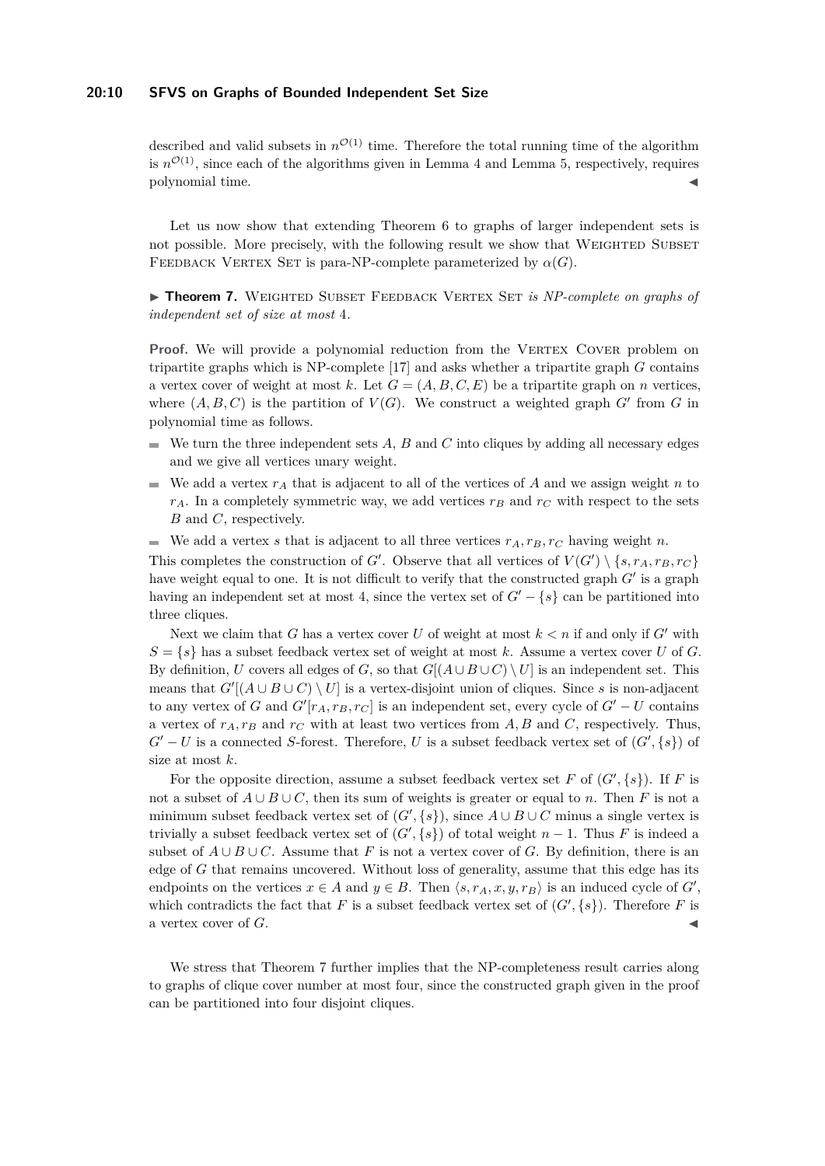#### **20:10 SFVS on Graphs of Bounded Independent Set Size**

described and valid subsets in  $n^{\mathcal{O}(1)}$  time. Therefore the total running time of the algorithm is  $n^{\mathcal{O}(1)}$ , since each of the algorithms given in Lemma [4](#page-7-0) and Lemma [5,](#page-7-1) respectively, requires polynomial time.

Let us now show that extending Theorem [6](#page-8-0) to graphs of larger independent sets is not possible. More precisely, with the following result we show that WEIGHTED SUBSET FEEDBACK VERTEX SET is para-NP-complete parameterized by  $\alpha(G)$ .

<span id="page-9-0"></span>**Finder 7.** WEIGHTED SUBSET FEEDBACK VERTEX SET *is NP-complete on graphs of independent set of size at most* 4*.*

**Proof.** We will provide a polynomial reduction from the VERTEX COVER problem on tripartite graphs which is NP-complete [\[17\]](#page-12-6) and asks whether a tripartite graph *G* contains a vertex cover of weight at most k. Let  $G = (A, B, C, E)$  be a tripartite graph on *n* vertices, where  $(A, B, C)$  is the partition of  $V(G)$ . We construct a weighted graph  $G'$  from  $G$  in polynomial time as follows.

- $\blacksquare$  We turn the three independent sets *A*, *B* and *C* into cliques by adding all necessary edges and we give all vertices unary weight.
- We add a vertex  $r_A$  that is adjacent to all of the vertices of A and we assign weight n to  $r_A$ . In a completely symmetric way, we add vertices  $r_B$  and  $r_C$  with respect to the sets *B* and *C*, respectively.
- We add a vertex *s* that is adjacent to all three vertices  $r_A, r_B, r_C$  having weight *n*.

This completes the construction of *G*<sup> $\prime$ </sup>. Observe that all vertices of  $V(G') \setminus \{s, r_A, r_B, r_C\}$ have weight equal to one. It is not difficult to verify that the constructed graph  $G'$  is a graph having an independent set at most 4, since the vertex set of  $G' - \{s\}$  can be partitioned into three cliques.

Next we claim that *G* has a vertex cover *U* of weight at most  $k < n$  if and only if *G'* with  $S = \{s\}$  has a subset feedback vertex set of weight at most k. Assume a vertex cover *U* of *G*. By definition, *U* covers all edges of *G*, so that  $G[(A \cup B \cup C) \setminus U]$  is an independent set. This means that  $G'[(A \cup B \cup C) \setminus U]$  is a vertex-disjoint union of cliques. Since *s* is non-adjacent to any vertex of *G* and  $G'[r_A, r_B, r_C]$  is an independent set, every cycle of  $G'-U$  contains a vertex of  $r_A, r_B$  and  $r_C$  with at least two vertices from  $A, B$  and  $C$ , respectively. Thus,  $G' - U$  is a connected *S*-forest. Therefore, *U* is a subset feedback vertex set of  $(G', \{s\})$  of size at most *k*.

For the opposite direction, assume a subset feedback vertex set *F* of  $(G', \{s\})$ . If *F* is not a subset of  $A \cup B \cup C$ , then its sum of weights is greater or equal to *n*. Then *F* is not a minimum subset feedback vertex set of  $(G', \{s\})$ , since  $A \cup B \cup C$  minus a single vertex is trivially a subset feedback vertex set of  $(G', \{s\})$  of total weight  $n-1$ . Thus *F* is indeed a subset of  $A \cup B \cup C$ . Assume that *F* is not a vertex cover of *G*. By definition, there is an edge of *G* that remains uncovered. Without loss of generality, assume that this edge has its endpoints on the vertices  $x \in A$  and  $y \in B$ . Then  $\langle s, r_A, x, y, r_B \rangle$  is an induced cycle of  $G'$ , which contradicts the fact that *F* is a subset feedback vertex set of  $(G', \{s\})$ . Therefore *F* is a vertex cover of G.

We stress that Theorem [7](#page-9-0) further implies that the NP-completeness result carries along to graphs of clique cover number at most four, since the constructed graph given in the proof can be partitioned into four disjoint cliques.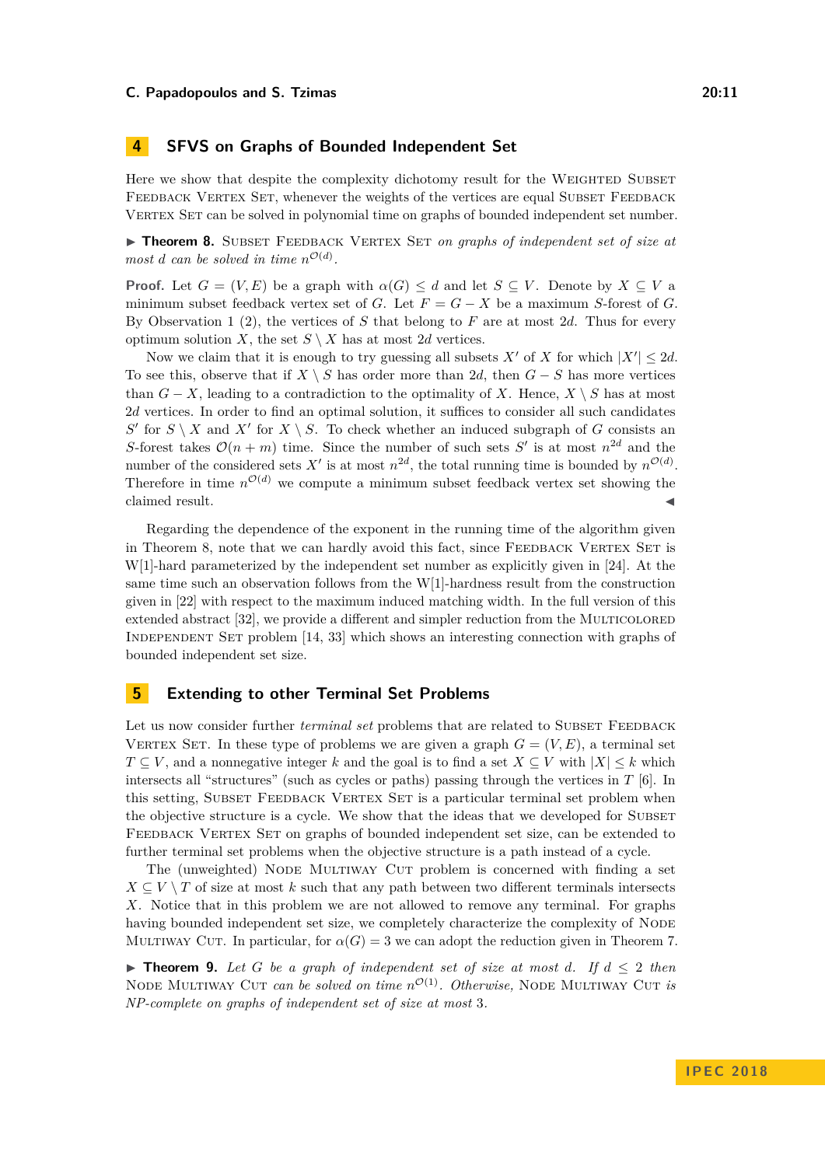## **4 SFVS on Graphs of Bounded Independent Set**

Here we show that despite the complexity dichotomy result for the WEIGHTED SUBSET FEEDBACK VERTEX SET, whenever the weights of the vertices are equal SUBSET FEEDBACK VERTEX SET can be solved in polynomial time on graphs of bounded independent set number.

<span id="page-10-0"></span>**Theorem 8.** SUBSET FEEDBACK VERTEX SET *on graphs of independent set of size at most d can be solved in time*  $n^{\mathcal{O}(d)}$ *.* 

**Proof.** Let  $G = (V, E)$  be a graph with  $\alpha(G) \leq d$  and let  $S \subseteq V$ . Denote by  $X \subseteq V$  a minimum subset feedback vertex set of *G*. Let  $F = G - X$  be a maximum *S*-forest of *G*. By Observation [1](#page-3-1) (2), the vertices of *S* that belong to *F* are at most 2*d*. Thus for every optimum solution *X*, the set  $S \setminus X$  has at most 2*d* vertices.

Now we claim that it is enough to try guessing all subsets  $X'$  of  $X$  for which  $|X'| \leq 2d$ . To see this, observe that if  $X \setminus S$  has order more than 2*d*, then  $G - S$  has more vertices than  $G - X$ , leading to a contradiction to the optimality of *X*. Hence,  $X \setminus S$  has at most 2*d* vertices. In order to find an optimal solution, it suffices to consider all such candidates  $S'$  for  $S \setminus X$  and  $X'$  for  $X \setminus S$ . To check whether an induced subgraph of *G* consists an *S*-forest takes  $\mathcal{O}(n+m)$  time. Since the number of such sets *S*<sup>'</sup> is at most  $n^{2d}$  and the number of the considered sets  $X'$  is at most  $n^{2d}$ , the total running time is bounded by  $n^{\mathcal{O}(d)}$ . Therefore in time  $n^{\mathcal{O}(d)}$  we compute a minimum subset feedback vertex set showing the claimed result.

Regarding the dependence of the exponent in the running time of the algorithm given in Theorem [8,](#page-10-0) note that we can hardly avoid this fact, since FEEDBACK VERTEX SET is W[1]-hard parameterized by the independent set number as explicitly given in [\[24\]](#page-13-7). At the same time such an observation follows from the W[1]-hardness result from the construction given in [\[22\]](#page-13-14) with respect to the maximum induced matching width. In the full version of this extended abstract [\[32\]](#page-13-0), we provide a different and simpler reduction from the MULTICOLORED Independent Set problem [\[14,](#page-12-16) [33\]](#page-13-15) which shows an interesting connection with graphs of bounded independent set size.

## **5 Extending to other Terminal Set Problems**

Let us now consider further *terminal set* problems that are related to SUBSET FEEDBACK VERTEX SET. In these type of problems we are given a graph  $G = (V, E)$ , a terminal set *T* ⊆ *V*, and a nonnegative integer *k* and the goal is to find a set  $X \subseteq V$  with  $|X| \leq k$  which intersects all "structures" (such as cycles or paths) passing through the vertices in *T* [\[6\]](#page-12-17). In this setting, SUBSET FEEDBACK VERTEX SET is a particular terminal set problem when the objective structure is a cycle. We show that the ideas that we developed for SUBSET FEEDBACK VERTEX SET on graphs of bounded independent set size, can be extended to further terminal set problems when the objective structure is a path instead of a cycle.

The (unweighted) Node Multiway Cut problem is concerned with finding a set  $X \subseteq V \setminus T$  of size at most *k* such that any path between two different terminals intersects *X*. Notice that in this problem we are not allowed to remove any terminal. For graphs having bounded independent set size, we completely characterize the complexity of NODE MULTIWAY CUT. In particular, for  $\alpha(G) = 3$  we can adopt the reduction given in Theorem [7.](#page-9-0)

<span id="page-10-1"></span>**► Theorem 9.** Let G be a graph of independent set of size at most d. If  $d \leq 2$  then NODE MULTIWAY CUT *can be solved on time*  $n^{\mathcal{O}(1)}$ *. Otherwise*, NODE MULTIWAY CUT *is NP-complete on graphs of independent set of size at most* 3*.*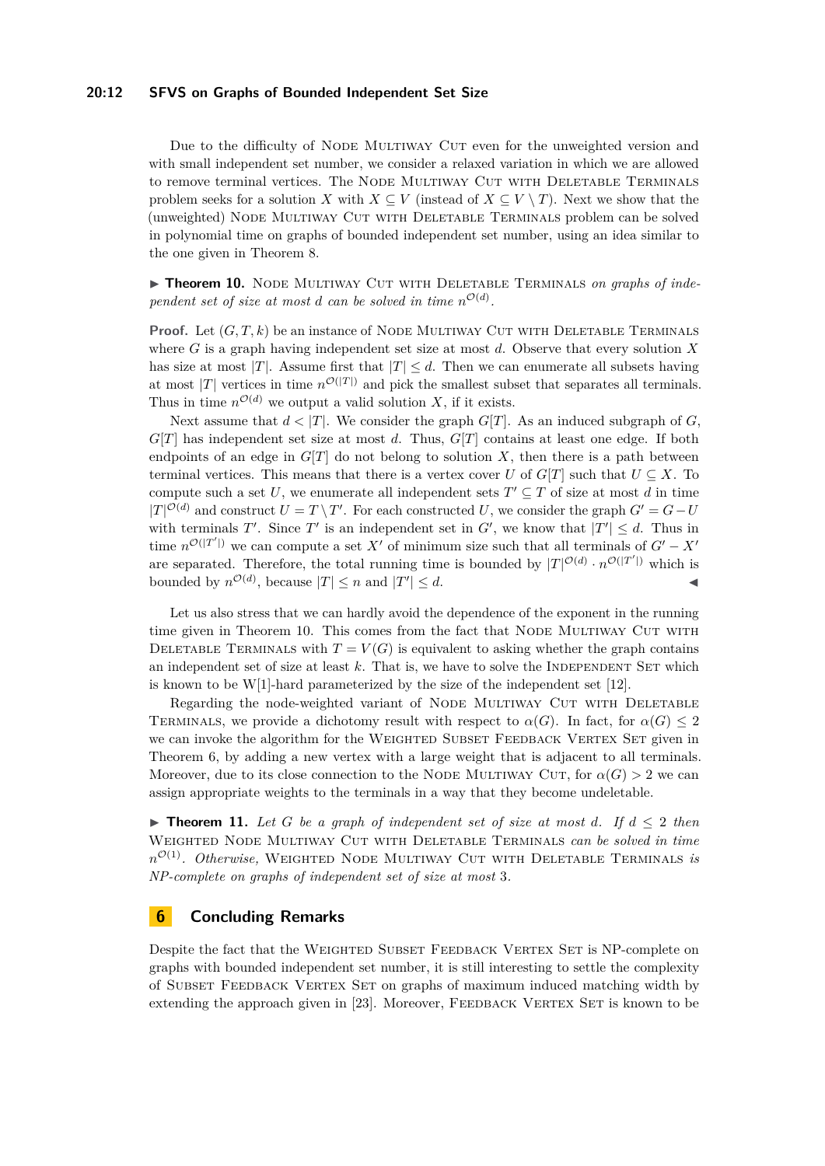#### **20:12 SFVS on Graphs of Bounded Independent Set Size**

Due to the difficulty of NODE MULTIWAY CUT even for the unweighted version and with small independent set number, we consider a relaxed variation in which we are allowed to remove terminal vertices. The NODE MULTIWAY CUT WITH DELETABLE TERMINALS problem seeks for a solution *X* with  $X \subseteq V$  (instead of  $X \subseteq V \setminus T$ ). Next we show that the (unweighted) Node Multiway Cut with Deletable Terminals problem can be solved in polynomial time on graphs of bounded independent set number, using an idea similar to the one given in Theorem [8.](#page-10-0)

<span id="page-11-0"></span>**Find Theorem 10.** NODE MULTIWAY CUT WITH DELETABLE TERMINALS *on graphs of independent set of size at most d can be solved in time*  $n^{\mathcal{O}(d)}$ .

**Proof.** Let  $(G, T, k)$  be an instance of NODE MULTIWAY CUT WITH DELETABLE TERMINALS where *G* is a graph having independent set size at most *d*. Observe that every solution *X* has size at most |*T*|. Assume first that  $|T| \leq d$ . Then we can enumerate all subsets having at most |*T*| vertices in time  $n^{\mathcal{O}(|T|)}$  and pick the smallest subset that separates all terminals. Thus in time  $n^{\mathcal{O}(d)}$  we output a valid solution *X*, if it exists.

Next assume that  $d < |T|$ . We consider the graph  $G[T]$ . As an induced subgraph of *G*, *G*[*T*] has independent set size at most *d*. Thus, *G*[*T*] contains at least one edge. If both endpoints of an edge in  $G[T]$  do not belong to solution  $X$ , then there is a path between terminal vertices. This means that there is a vertex cover *U* of  $G[T]$  such that  $U \subseteq X$ . To compute such a set U, we enumerate all independent sets  $T' \subseteq T$  of size at most d in time  $|T|^{\mathcal{O}(d)}$  and construct  $U = T \setminus T'$ . For each constructed *U*, we consider the graph  $G' = G - U$ with terminals  $T'$ . Since  $T'$  is an independent set in  $G'$ , we know that  $|T'| \leq d$ . Thus in time  $n^{\mathcal{O}(|T'|)}$  we can compute a set X' of minimum size such that all terminals of  $G'-X'$ are separated. Therefore, the total running time is bounded by  $|T|^{\mathcal{O}(d)} \cdot n^{\mathcal{O}(|T'|)}$  which is bounded by  $n^{\mathcal{O}(d)}$ , because  $|T| \leq n$  and  $|T'| \leq d$ .

Let us also stress that we can hardly avoid the dependence of the exponent in the running time given in Theorem [10.](#page-11-0) This comes from the fact that NODE MULTIWAY CUT WITH DELETABLE TERMINALS with  $T = V(G)$  is equivalent to asking whether the graph contains an independent set of size at least k. That is, we have to solve the INDEPENDENT SET which is known to be W[1]-hard parameterized by the size of the independent set [\[12\]](#page-12-18).

Regarding the node-weighted variant of NODE MULTIWAY CUT WITH DELETABLE TERMINALS, we provide a dichotomy result with respect to  $\alpha(G)$ . In fact, for  $\alpha(G) \leq 2$ we can invoke the algorithm for the WEIGHTED SUBSET FEEDBACK VERTEX SET given in Theorem [6,](#page-8-0) by adding a new vertex with a large weight that is adjacent to all terminals. Moreover, due to its close connection to the NODE MULTIWAY CUT, for  $\alpha(G) > 2$  we can assign appropriate weights to the terminals in a way that they become undeletable.

▶ **Theorem 11.** Let *G* be a graph of independent set of size at most *d*. If  $d ≤ 2$  then Weighted Node Multiway Cut with Deletable Terminals *can be solved in time n* <sup>O</sup>(1)*. Otherwise,* Weighted Node Multiway Cut with Deletable Terminals *is NP-complete on graphs of independent set of size at most* 3*.*

## **6 Concluding Remarks**

Despite the fact that the WEIGHTED SUBSET FEEDBACK VERTEX SET is NP-complete on graphs with bounded independent set number, it is still interesting to settle the complexity of SUBSET FEEDBACK VERTEX SET on graphs of maximum induced matching width by extending the approach given in [\[23\]](#page-13-8). Moreover, FEEDBACK VERTEX SET is known to be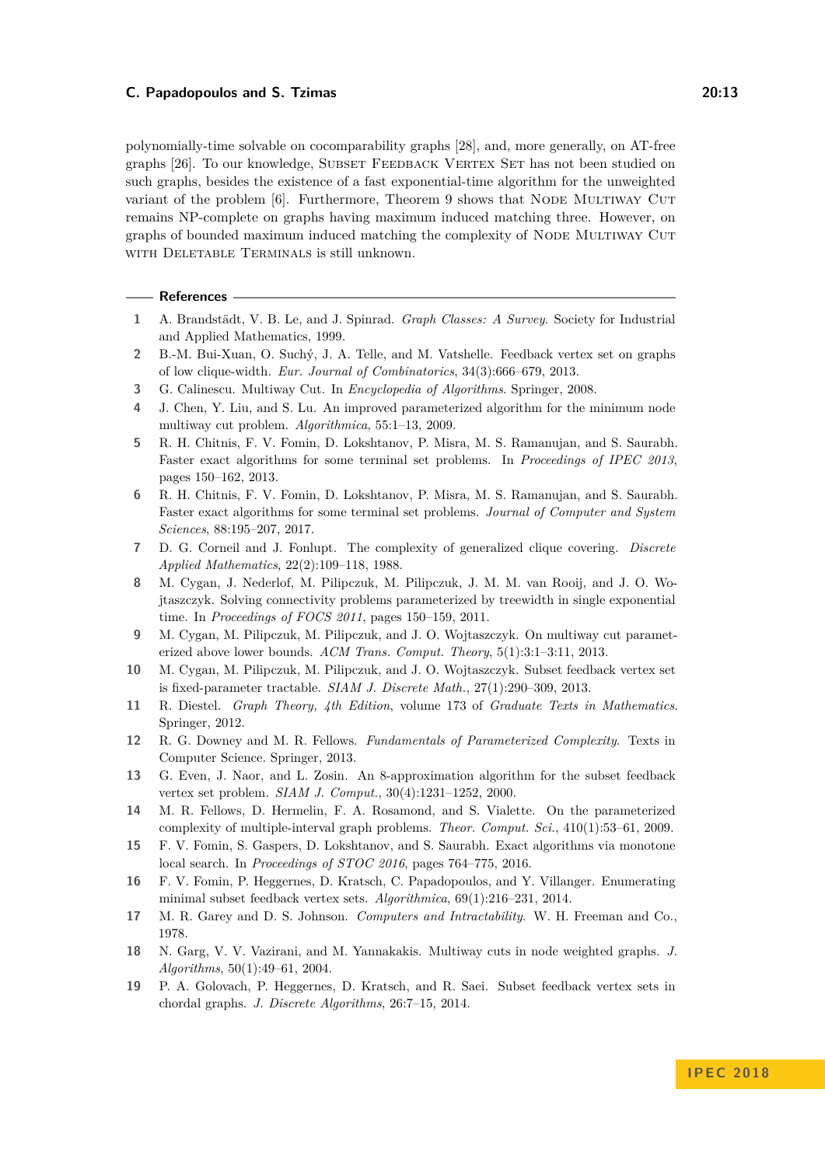polynomially-time solvable on cocomparability graphs [\[28\]](#page-13-16), and, more generally, on AT-free graphs [\[26\]](#page-13-17). To our knowledge, Subset Feedback Vertex Set has not been studied on such graphs, besides the existence of a fast exponential-time algorithm for the unweighted variant of the problem [\[6\]](#page-12-17). Furthermore, Theorem [9](#page-10-1) shows that NODE MULTIWAY CUT remains NP-complete on graphs having maximum induced matching three. However, on graphs of bounded maximum induced matching the complexity of Node Multiway Cut with Deletable Terminals is still unknown.

## **References**

- <span id="page-12-14"></span>**1** A. Brandstädt, V. B. Le, and J. Spinrad. *Graph Classes: A Survey*. Society for Industrial and Applied Mathematics, 1999.
- <span id="page-12-9"></span>**2** B.-M. Bui-Xuan, O. Suchý, J. A. Telle, and M. Vatshelle. Feedback vertex set on graphs of low clique-width. *Eur. Journal of Combinatorics*, 34(3):666–679, 2013.
- <span id="page-12-12"></span>**3** G. Calinescu. Multiway Cut. In *Encyclopedia of Algorithms*. Springer, 2008.
- <span id="page-12-10"></span>**4** J. Chen, Y. Liu, and S. Lu. An improved parameterized algorithm for the minimum node multiway cut problem. *Algorithmica*, 55:1–13, 2009.
- <span id="page-12-2"></span>**5** R. H. Chitnis, F. V. Fomin, D. Lokshtanov, P. Misra, M. S. Ramanujan, and S. Saurabh. Faster exact algorithms for some terminal set problems. In *Proceedings of IPEC 2013*, pages 150–162, 2013.
- <span id="page-12-17"></span>**6** R. H. Chitnis, F. V. Fomin, D. Lokshtanov, P. Misra, M. S. Ramanujan, and S. Saurabh. Faster exact algorithms for some terminal set problems. *Journal of Computer and System Sciences*, 88:195–207, 2017.
- <span id="page-12-7"></span>**7** D. G. Corneil and J. Fonlupt. The complexity of generalized clique covering. *Discrete Applied Mathematics*, 22(2):109–118, 1988.
- <span id="page-12-8"></span>**8** M. Cygan, J. Nederlof, M. Pilipczuk, M. Pilipczuk, J. M. M. van Rooij, and J. O. Wojtaszczyk. Solving connectivity problems parameterized by treewidth in single exponential time. In *Proceedings of FOCS 2011*, pages 150–159, 2011.
- <span id="page-12-11"></span>**9** M. Cygan, M. Pilipczuk, M. Pilipczuk, and J. O. Wojtaszczyk. On multiway cut parameterized above lower bounds. *ACM Trans. Comput. Theory*, 5(1):3:1–3:11, 2013.
- <span id="page-12-1"></span>**10** M. Cygan, M. Pilipczuk, M. Pilipczuk, and J. O. Wojtaszczyk. Subset feedback vertex set is fixed-parameter tractable. *SIAM J. Discrete Math.*, 27(1):290–309, 2013.
- <span id="page-12-15"></span>**11** R. Diestel. *Graph Theory, 4th Edition*, volume 173 of *Graduate Texts in Mathematics*. Springer, 2012.
- <span id="page-12-18"></span>**12** R. G. Downey and M. R. Fellows. *Fundamentals of Parameterized Complexity*. Texts in Computer Science. Springer, 2013.
- <span id="page-12-0"></span>**13** G. Even, J. Naor, and L. Zosin. An 8-approximation algorithm for the subset feedback vertex set problem. *SIAM J. Comput.*, 30(4):1231–1252, 2000.
- <span id="page-12-16"></span>**14** M. R. Fellows, D. Hermelin, F. A. Rosamond, and S. Vialette. On the parameterized complexity of multiple-interval graph problems. *Theor. Comput. Sci.*, 410(1):53–61, 2009.
- <span id="page-12-4"></span>**15** F. V. Fomin, S. Gaspers, D. Lokshtanov, and S. Saurabh. Exact algorithms via monotone local search. In *Proceedings of STOC 2016*, pages 764–775, 2016.
- <span id="page-12-3"></span>**16** F. V. Fomin, P. Heggernes, D. Kratsch, C. Papadopoulos, and Y. Villanger. Enumerating minimal subset feedback vertex sets. *Algorithmica*, 69(1):216–231, 2014.
- <span id="page-12-6"></span>**17** M. R. Garey and D. S. Johnson. *Computers and Intractability*. W. H. Freeman and Co., 1978.
- <span id="page-12-13"></span>**18** N. Garg, V. V. Vazirani, and M. Yannakakis. Multiway cuts in node weighted graphs. *J. Algorithms*, 50(1):49–61, 2004.
- <span id="page-12-5"></span>**19** P. A. Golovach, P. Heggernes, D. Kratsch, and R. Saei. Subset feedback vertex sets in chordal graphs. *J. Discrete Algorithms*, 26:7–15, 2014.